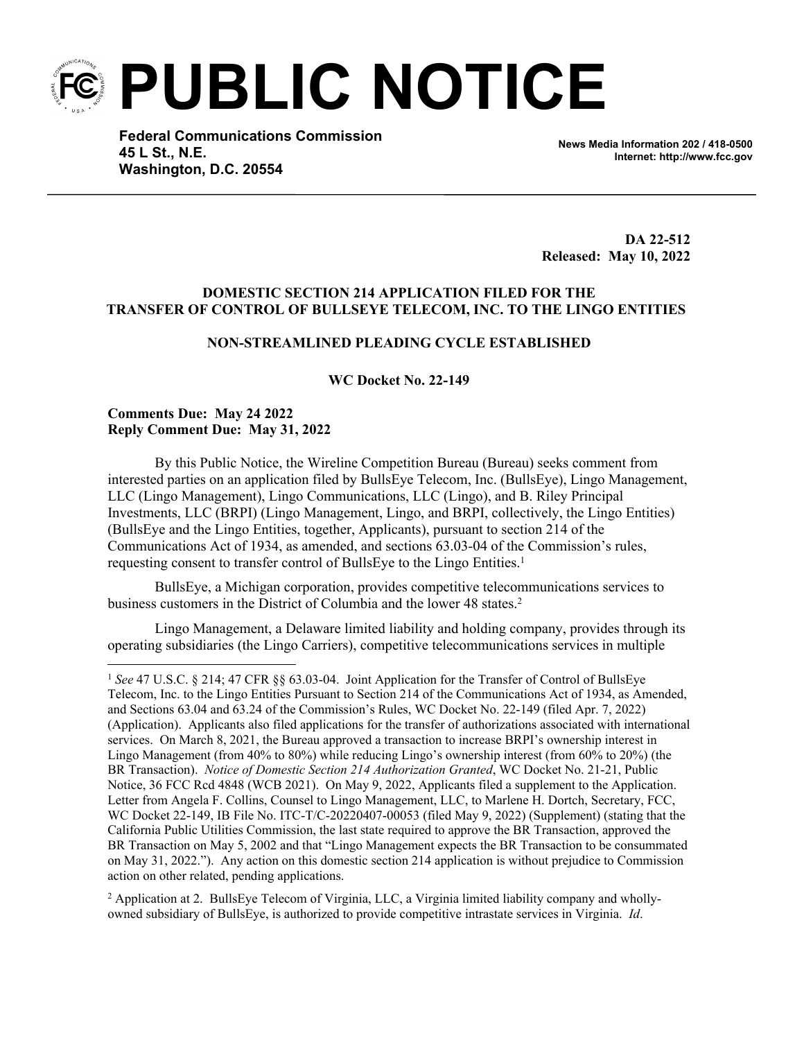**PUBLIC NOTICE**

**Federal Communications Commission 45 L St., N.E. Washington, D.C. 20554**

**News Media Information 202 / 418-0500 Internet: http://www.fcc.gov**

**DA 22-512 Released: May 10, 2022**

# **DOMESTIC SECTION 214 APPLICATION FILED FOR THE TRANSFER OF CONTROL OF BULLSEYE TELECOM, INC. TO THE LINGO ENTITIES**

# **NON-STREAMLINED PLEADING CYCLE ESTABLISHED**

#### **WC Docket No. 22-149**

## **Comments Due: May 24 2022 Reply Comment Due: May 31, 2022**

By this Public Notice, the Wireline Competition Bureau (Bureau) seeks comment from interested parties on an application filed by BullsEye Telecom, Inc. (BullsEye), Lingo Management, LLC (Lingo Management), Lingo Communications, LLC (Lingo), and B. Riley Principal Investments, LLC (BRPI) (Lingo Management, Lingo, and BRPI, collectively, the Lingo Entities) (BullsEye and the Lingo Entities, together, Applicants), pursuant to section 214 of the Communications Act of 1934, as amended, and sections 63.03-04 of the Commission's rules, requesting consent to transfer control of BullsEye to the Lingo Entities.<sup>1</sup>

BullsEye, a Michigan corporation, provides competitive telecommunications services to business customers in the District of Columbia and the lower 48 states.<sup>2</sup>

Lingo Management, a Delaware limited liability and holding company, provides through its operating subsidiaries (the Lingo Carriers), competitive telecommunications services in multiple

2 Application at 2. BullsEye Telecom of Virginia, LLC, a Virginia limited liability company and whollyowned subsidiary of BullsEye, is authorized to provide competitive intrastate services in Virginia. *Id*.

<sup>1</sup> *See* 47 U.S.C. § 214; 47 CFR §§ 63.03-04. Joint Application for the Transfer of Control of BullsEye Telecom, Inc. to the Lingo Entities Pursuant to Section 214 of the Communications Act of 1934, as Amended, and Sections 63.04 and 63.24 of the Commission's Rules, WC Docket No. 22-149 (filed Apr. 7, 2022) (Application). Applicants also filed applications for the transfer of authorizations associated with international services. On March 8, 2021, the Bureau approved a transaction to increase BRPI's ownership interest in Lingo Management (from 40% to 80%) while reducing Lingo's ownership interest (from 60% to 20%) (the BR Transaction). *Notice of Domestic Section 214 Authorization Granted*, WC Docket No. 21-21, Public Notice, 36 FCC Rcd 4848 (WCB 2021). On May 9, 2022, Applicants filed a supplement to the Application. Letter from Angela F. Collins, Counsel to Lingo Management, LLC, to Marlene H. Dortch, Secretary, FCC, WC Docket 22-149, IB File No. ITC-T/C-20220407-00053 (filed May 9, 2022) (Supplement) (stating that the California Public Utilities Commission, the last state required to approve the BR Transaction, approved the BR Transaction on May 5, 2002 and that "Lingo Management expects the BR Transaction to be consummated on May 31, 2022."). Any action on this domestic section 214 application is without prejudice to Commission action on other related, pending applications.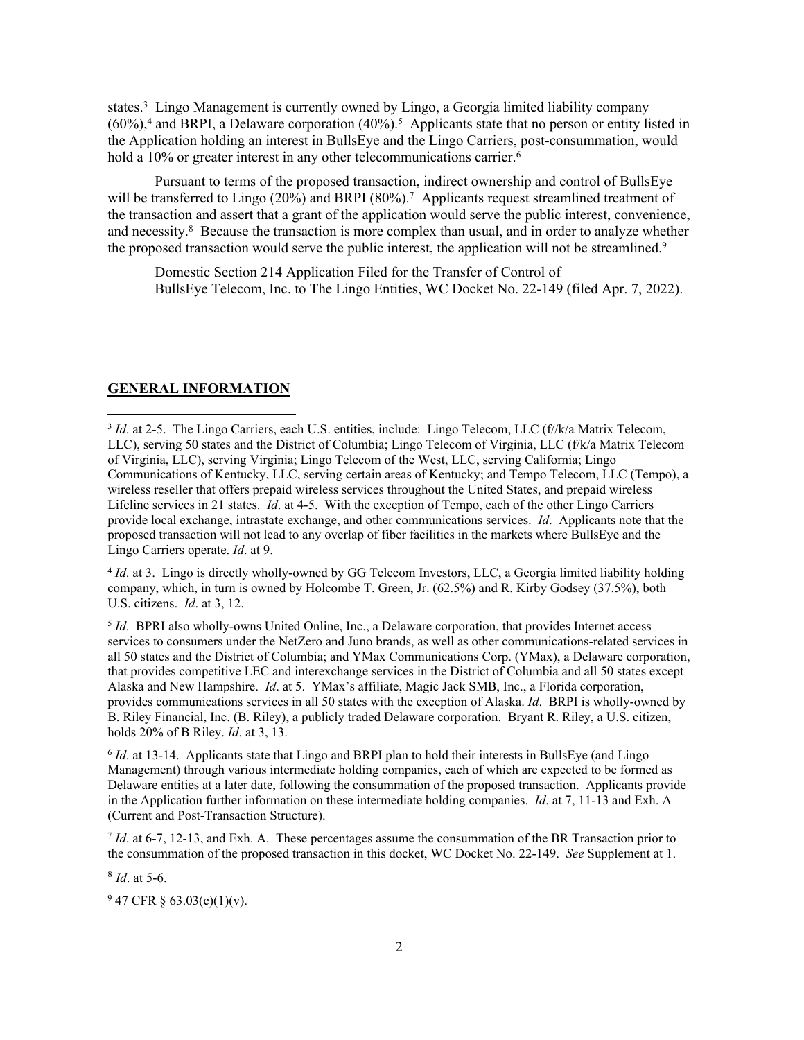states.<sup>3</sup> Lingo Management is currently owned by Lingo, a Georgia limited liability company  $(60\%)$ <sup>4</sup> and BRPI, a Delaware corporation  $(40\%)$ <sup>5</sup> Applicants state that no person or entity listed in the Application holding an interest in BullsEye and the Lingo Carriers, post-consummation, would hold a 10% or greater interest in any other telecommunications carrier.<sup>6</sup>

Pursuant to terms of the proposed transaction, indirect ownership and control of BullsEye will be transferred to Lingo (20%) and BRPI (80%).<sup>7</sup> Applicants request streamlined treatment of the transaction and assert that a grant of the application would serve the public interest, convenience, and necessity.<sup>8</sup> Because the transaction is more complex than usual, and in order to analyze whether the proposed transaction would serve the public interest, the application will not be streamlined.<sup>9</sup>

Domestic Section 214 Application Filed for the Transfer of Control of BullsEye Telecom, Inc. to The Lingo Entities, WC Docket No. 22-149 (filed Apr. 7, 2022).

## **GENERAL INFORMATION**

<sup>3</sup> *Id.* at 2-5. The Lingo Carriers, each U.S. entities, include: Lingo Telecom, LLC (f//k/a Matrix Telecom, LLC), serving 50 states and the District of Columbia; Lingo Telecom of Virginia, LLC (f/k/a Matrix Telecom of Virginia, LLC), serving Virginia; Lingo Telecom of the West, LLC, serving California; Lingo Communications of Kentucky, LLC, serving certain areas of Kentucky; and Tempo Telecom, LLC (Tempo), a wireless reseller that offers prepaid wireless services throughout the United States, and prepaid wireless Lifeline services in 21 states. *Id*. at 4-5. With the exception of Tempo, each of the other Lingo Carriers provide local exchange, intrastate exchange, and other communications services. *Id*. Applicants note that the proposed transaction will not lead to any overlap of fiber facilities in the markets where BullsEye and the Lingo Carriers operate. *Id*. at 9.

4 *Id*. at 3. Lingo is directly wholly-owned by GG Telecom Investors, LLC, a Georgia limited liability holding company, which, in turn is owned by Holcombe T. Green, Jr. (62.5%) and R. Kirby Godsey (37.5%), both U.S. citizens. *Id*. at 3, 12.

5 *Id*. BPRI also wholly-owns United Online, Inc., a Delaware corporation, that provides Internet access services to consumers under the NetZero and Juno brands, as well as other communications-related services in all 50 states and the District of Columbia; and YMax Communications Corp. (YMax), a Delaware corporation, that provides competitive LEC and interexchange services in the District of Columbia and all 50 states except Alaska and New Hampshire. *Id*. at 5. YMax's affiliate, Magic Jack SMB, Inc., a Florida corporation, provides communications services in all 50 states with the exception of Alaska. *Id*. BRPI is wholly-owned by B. Riley Financial, Inc. (B. Riley), a publicly traded Delaware corporation. Bryant R. Riley, a U.S. citizen, holds 20% of B Riley. *Id*. at 3, 13.

6 *Id*. at 13-14. Applicants state that Lingo and BRPI plan to hold their interests in BullsEye (and Lingo Management) through various intermediate holding companies, each of which are expected to be formed as Delaware entities at a later date, following the consummation of the proposed transaction. Applicants provide in the Application further information on these intermediate holding companies. *Id*. at 7, 11-13 and Exh. A (Current and Post-Transaction Structure).

*Id.* at 6-7, 12-13, and Exh. A. These percentages assume the consummation of the BR Transaction prior to the consummation of the proposed transaction in this docket, WC Docket No. 22-149. *See* Supplement at 1.

8 *Id*. at 5-6.

 $947$  CFR § 63.03(c)(1)(v).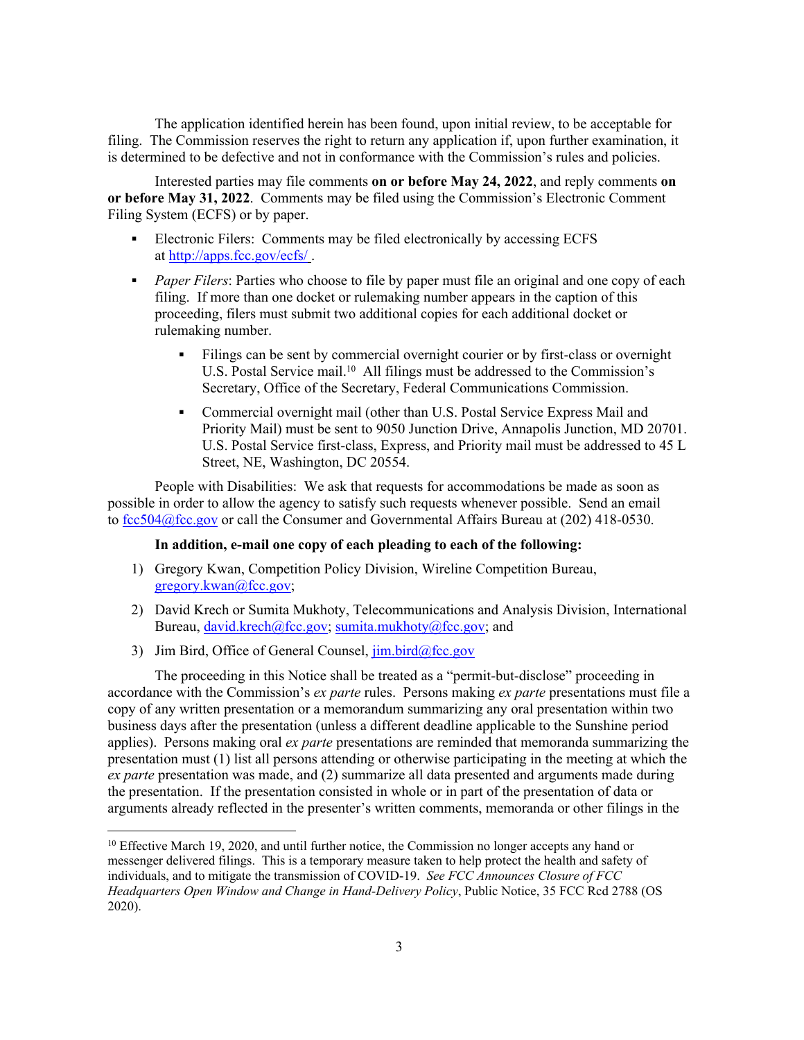The application identified herein has been found, upon initial review, to be acceptable for filing. The Commission reserves the right to return any application if, upon further examination, it is determined to be defective and not in conformance with the Commission's rules and policies.

Interested parties may file comments **on or before May 24, 2022**, and reply comments **on or before May 31, 2022**. Comments may be filed using the Commission's Electronic Comment Filing System (ECFS) or by paper.

- Electronic Filers: Comments may be filed electronically by accessing ECFS at <http://apps.fcc.gov/ecfs/> .
- **Paper Filers:** Parties who choose to file by paper must file an original and one copy of each filing. If more than one docket or rulemaking number appears in the caption of this proceeding, filers must submit two additional copies for each additional docket or rulemaking number.
	- Filings can be sent by commercial overnight courier or by first-class or overnight U.S. Postal Service mail.<sup>10</sup> All filings must be addressed to the Commission's Secretary, Office of the Secretary, Federal Communications Commission.
	- Commercial overnight mail (other than U.S. Postal Service Express Mail and Priority Mail) must be sent to 9050 Junction Drive, Annapolis Junction, MD 20701. U.S. Postal Service first-class, Express, and Priority mail must be addressed to 45 L Street, NE, Washington, DC 20554.

People with Disabilities: We ask that requests for accommodations be made as soon as possible in order to allow the agency to satisfy such requests whenever possible. Send an email to [fcc504@fcc.gov](mailto:fcc504@fcc.gov) or call the Consumer and Governmental Affairs Bureau at (202) 418-0530.

#### **In addition, e-mail one copy of each pleading to each of the following:**

- 1) Gregory Kwan, Competition Policy Division, Wireline Competition Bureau, [gregory.kwan@fcc.gov;](mailto:gregory.kwan@fcc.gov)
- 2) David Krech or Sumita Mukhoty, Telecommunications and Analysis Division, International Bureau, [david.krech@fcc.gov;](mailto:david.krech@fcc.gov) [sumita.mukhoty@fcc.gov](mailto:sumita.mukhoty@fcc.gov); and
- 3) Jim Bird, Office of General Counsel,  $\lim_{h \to 0} \frac{\text{bird}(a)}{\text{fcc.gov}}$

The proceeding in this Notice shall be treated as a "permit-but-disclose" proceeding in accordance with the Commission's *ex parte* rules. Persons making *ex parte* presentations must file a copy of any written presentation or a memorandum summarizing any oral presentation within two business days after the presentation (unless a different deadline applicable to the Sunshine period applies). Persons making oral *ex parte* presentations are reminded that memoranda summarizing the presentation must (1) list all persons attending or otherwise participating in the meeting at which the *ex parte* presentation was made, and (2) summarize all data presented and arguments made during the presentation. If the presentation consisted in whole or in part of the presentation of data or arguments already reflected in the presenter's written comments, memoranda or other filings in the

<sup>&</sup>lt;sup>10</sup> Effective March 19, 2020, and until further notice, the Commission no longer accepts any hand or messenger delivered filings. This is a temporary measure taken to help protect the health and safety of individuals, and to mitigate the transmission of COVID-19. *See FCC Announces Closure of FCC Headquarters Open Window and Change in Hand-Delivery Policy*, Public Notice, 35 FCC Rcd 2788 (OS 2020).